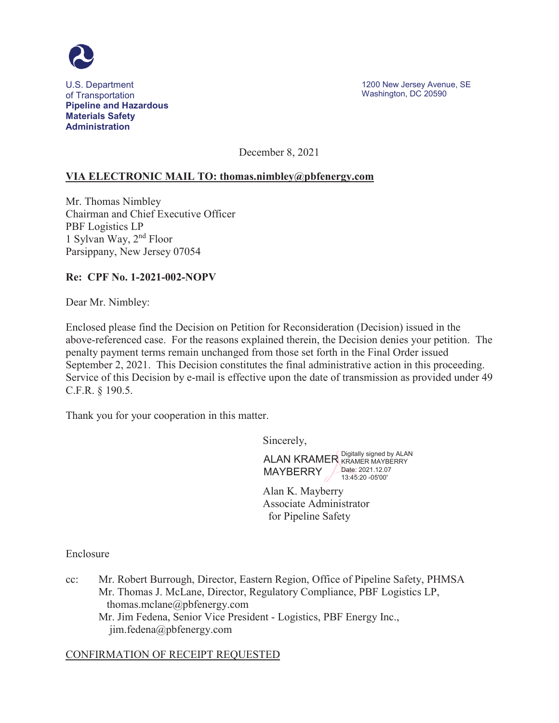

**Materials Safety** of Transportation Number 2005 and the United States of Transportation Number 200590 **Pipeline and Hazardous Administration** 

December 8, 2021

## **VIA ELECTRONIC MAIL TO: [thomas.nimbley@pbfenergy.com](mailto:thomas.nimbley@pbfenergy.com)**

Mr. Thomas Nimbley Chairman and Chief Executive Officer PBF Logistics LP 1 Sylvan Way, 2nd Floor Parsippany, New Jersey 07054

### **Re: CPF No. 1-2021-002-NOPV**

Dear Mr. Nimbley:

 Enclosed please find the Decision on Petition for Reconsideration (Decision) issued in the above-referenced case. For the reasons explained therein, the Decision denies your petition. The penalty payment terms remain unchanged from those set forth in the Final Order issued September 2, 2021. This Decision constitutes the final administrative action in this proceeding. Service of this Decision by e-mail is effective upon the date of transmission as provided under 49 C.F.R. § 190.5.

Thank you for your cooperation in this matter.

Sincerely,

ALAN KRAMER Digitally signed by ALAN MAYBERRY Date: [2021.12.07](https://2021.12.07) 13:45:20 -05'00'

Alan K. Mayberry Associate Administrator for Pipeline Safety

Enclosure

 Mr. Jim Fedena, Senior Vice President - Logistics, PBF Energy Inc., cc: Mr. Robert Burrough, Director, Eastern Region, Office of Pipeline Safety, PHMSA Mr. Thomas J. McLane, Director, Regulatory Compliance, PBF Logistics LP, [thomas.mclane@pbfenergy.com](mailto:thomas.mclane@pbfenergy.com)  [jim.fedena@pbfenergy.com](mailto:jim.fedena@pbfenergy.com)

### CONFIRMATION OF RECEIPT REQUESTED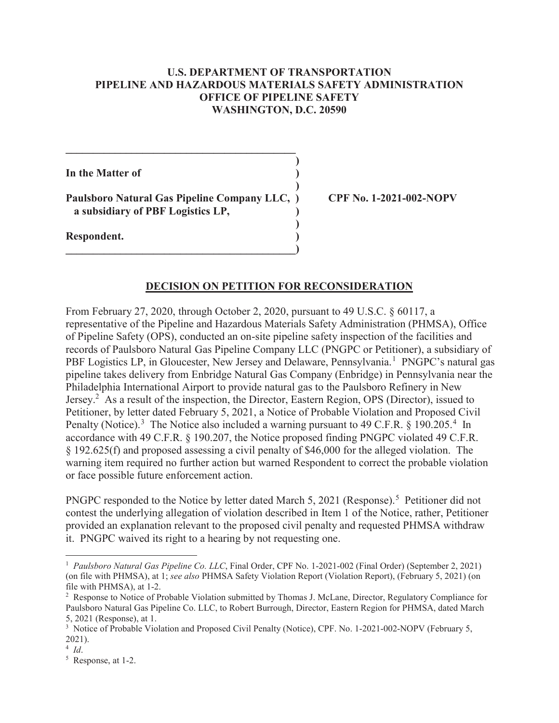### **U.S. DEPARTMENT OF TRANSPORTATION PIPELINE AND HAZARDOUS MATERIALS SAFETY ADMINISTRATION OFFICE OF PIPELINE SAFETY WASHINGTON, D.C. 20590**

**)** 

**)** 

**)** 

**In the Matter of**  )

 **a subsidiary of PBF Logistics LP, ) Paulsboro Natural Gas Pipeline Company LLC, ) CPF No. 1-2021-002-NOPV**

**\_\_\_\_\_\_\_\_\_\_\_\_\_\_\_\_\_\_\_\_\_\_\_\_\_\_\_\_\_\_\_\_\_\_\_\_\_\_\_\_\_\_)** 

 $\mathcal{L} = \{ \mathcal{L} \}$ 

**Respondent. )** 

### **DECISION ON PETITION FOR RECONSIDERATION**

From February 27, 2020, through October 2, 2020, pursuant to 49 U.S.C. § 60117, a representative of the Pipeline and Hazardous Materials Safety Administration (PHMSA), Office of Pipeline Safety (OPS), conducted an on-site pipeline safety inspection of the facilities and records of Paulsboro Natural Gas Pipeline Company LLC (PNGPC or Petitioner), a subsidiary of PBF Logistics LP, in Gloucester, New Jersey and Delaware, Pennsylvania.<sup>1</sup> PNGPC's natural gas pipeline takes delivery from Enbridge Natural Gas Company (Enbridge) in Pennsylvania near the Philadelphia International Airport to provide natural gas to the Paulsboro Refinery in New Jersey.2 As a result of the inspection, the Director, Eastern Region, OPS (Director), issued to Petitioner, by letter dated February 5, 2021, a Notice of Probable Violation and Proposed Civil Penalty (Notice).<sup>3</sup> The Notice also included a warning pursuant to 49 C.F.R. § 190.205.<sup>4</sup> In accordance with 49 C.F.R. § 190.207, the Notice proposed finding PNGPC violated 49 C.F.R. § 192.625(f) and proposed assessing a civil penalty of \$46,000 for the alleged violation. The warning item required no further action but warned Respondent to correct the probable violation or face possible future enforcement action.

PNGPC responded to the Notice by letter dated March 5, 2021 (Response).<sup>5</sup> Petitioner did not contest the underlying allegation of violation described in Item 1 of the Notice, rather, Petitioner provided an explanation relevant to the proposed civil penalty and requested PHMSA withdraw it. PNGPC waived its right to a hearing by not requesting one.

 <sup>1</sup>*Paulsboro Natural Gas Pipeline Co. LLC*, Final Order, CPF No. 1-2021-002 (Final Order) (September 2, 2021) (on file with PHMSA), at 1; *see also* PHMSA Safety Violation Report (Violation Report), (February 5, 2021) (on file with PHMSA), at 1-2.

<sup>&</sup>lt;sup>2</sup> Response to Notice of Probable Violation submitted by Thomas J. McLane, Director, Regulatory Compliance for Paulsboro Natural Gas Pipeline Co. LLC, to Robert Burrough, Director, Eastern Region for PHMSA, dated March 5, 2021 (Response), at 1.

<sup>&</sup>lt;sup>3</sup> Notice of Probable Violation and Proposed Civil Penalty (Notice), CPF. No. 1-2021-002-NOPV (February 5, 2021).

 $\frac{4}{5}$  *Id*.

 $5$  Response, at 1-2.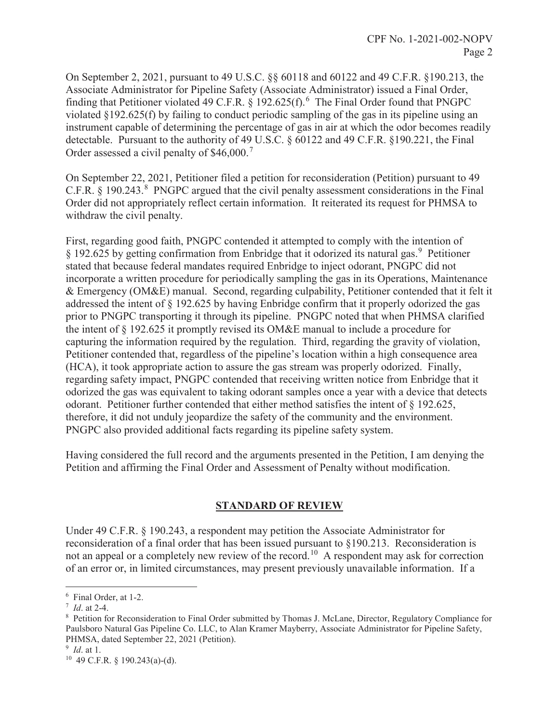On September 2, 2021, pursuant to 49 U.S.C. §§ 60118 and 60122 and 49 C.F.R. §190.213, the Associate Administrator for Pipeline Safety (Associate Administrator) issued a Final Order, finding that Petitioner violated 49 C.F.R. § 192.625(f).<sup>6</sup> The Final Order found that PNGPC violated §192.625(f) by failing to conduct periodic sampling of the gas in its pipeline using an instrument capable of determining the percentage of gas in air at which the odor becomes readily detectable. Pursuant to the authority of 49 U.S.C. § 60122 and 49 C.F.R. §190.221, the Final Order assessed a civil penalty of \$46,000.<sup>7</sup>

withdraw the civil penalty. On September 22, 2021, Petitioner filed a petition for reconsideration (Petition) pursuant to 49 C.F.R.  $\S$  190.243.<sup>8</sup> PNGPC argued that the civil penalty assessment considerations in the Final Order did not appropriately reflect certain information. It reiterated its request for PHMSA to

First, regarding good faith, PNGPC contended it attempted to comply with the intention of § 192.625 by getting confirmation from Enbridge that it odorized its natural gas.<sup>9</sup> Petitioner stated that because federal mandates required Enbridge to inject odorant, PNGPC did not incorporate a written procedure for periodically sampling the gas in its Operations, Maintenance & Emergency (OM&E) manual. Second, regarding culpability, Petitioner contended that it felt it addressed the intent of § 192.625 by having Enbridge confirm that it properly odorized the gas prior to PNGPC transporting it through its pipeline. PNGPC noted that when PHMSA clarified the intent of § 192.625 it promptly revised its OM&E manual to include a procedure for capturing the information required by the regulation. Third, regarding the gravity of violation, Petitioner contended that, regardless of the pipeline's location within a high consequence area (HCA), it took appropriate action to assure the gas stream was properly odorized. Finally, regarding safety impact, PNGPC contended that receiving written notice from Enbridge that it odorized the gas was equivalent to taking odorant samples once a year with a device that detects odorant. Petitioner further contended that either method satisfies the intent of § 192.625, therefore, it did not unduly jeopardize the safety of the community and the environment. PNGPC also provided additional facts regarding its pipeline safety system.

Having considered the full record and the arguments presented in the Petition, I am denying the Petition and affirming the Final Order and Assessment of Penalty without modification.

### **STANDARD OF REVIEW**

Under 49 C.F.R. § 190.243, a respondent may petition the Associate Administrator for reconsideration of a final order that has been issued pursuant to §190.213. Reconsideration is not an appeal or a completely new review of the [record.](https://record.10)<sup>10</sup> A respondent may ask for correction of an error or, in limited circumstances, may present previously unavailable information. If a

 $\overline{a}$ 

<sup>6</sup> Final Order, at 1-2.

<sup>&</sup>lt;sup>7</sup> *Id.* at 2-4.<br><sup>8</sup> Petition fo

Petition for Reconsideration to Final Order submitted by Thomas J. McLane, Director, Regulatory Compliance for Paulsboro Natural Gas Pipeline Co. LLC, to Alan Kramer Mayberry, Associate Administrator for Pipeline Safety, PHMSA, dated September 22, 2021 (Petition).

 $9$  *Id.* at 1.

<sup>&</sup>lt;sup>10</sup> 49 C.F.R. § 190.243(a)-(d).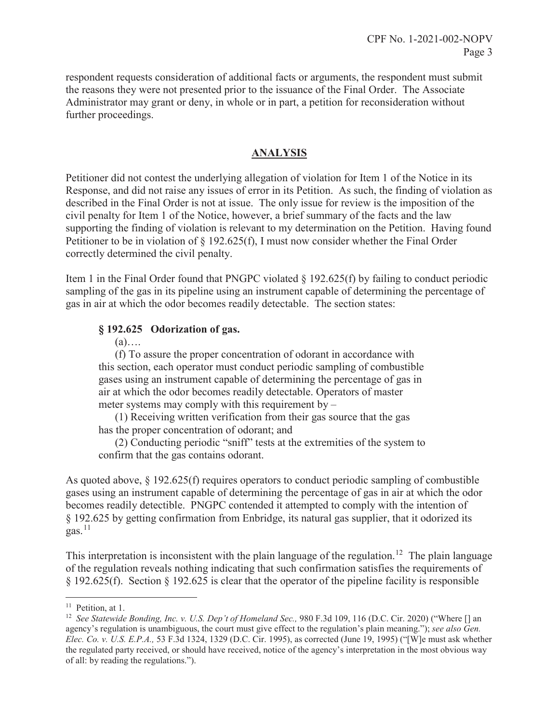respondent requests consideration of additional facts or arguments, the respondent must submit the reasons they were not presented prior to the issuance of the Final Order. The Associate Administrator may grant or deny, in whole or in part, a petition for reconsideration without further proceedings.

# **ANALYSIS**

correctly determined the civil penalty. Petitioner did not contest the underlying allegation of violation for Item 1 of the Notice in its Response, and did not raise any issues of error in its Petition. As such, the finding of violation as described in the Final Order is not at issue. The only issue for review is the imposition of the civil penalty for Item 1 of the Notice, however, a brief summary of the facts and the law supporting the finding of violation is relevant to my determination on the Petition. Having found Petitioner to be in violation of § 192.625(f), I must now consider whether the Final Order

Item 1 in the Final Order found that PNGPC violated  $\S$  192.625(f) by failing to conduct periodic sampling of the gas in its pipeline using an instrument capable of determining the percentage of gas in air at which the odor becomes readily detectable. The section states:

# **§ 192.625 Odorization of gas.**

### $(a)$ ….

(f) To assure the proper concentration of odorant in accordance with this section, each operator must conduct periodic sampling of combustible gases using an instrument capable of determining the percentage of gas in air at which the odor becomes readily detectable. Operators of master meter systems may comply with this requirement by –

(1) Receiving written verification from their gas source that the gas has the proper concentration of odorant; and

(2) Conducting periodic "sniff" tests at the extremities of the system to confirm that the gas contains odorant.

becomes readily detectible. PNGPC contended it attempted to comply with the intention of  $gas.<sup>11</sup>$ As quoted above, § 192.625(f) requires operators to conduct periodic sampling of combustible gases using an instrument capable of determining the percentage of gas in air at which the odor § 192.625 by getting confirmation from Enbridge, its natural gas supplier, that it odorized its

This interpretation is inconsistent with the plain language of the [regulation.](https://regulation.12)<sup>12</sup> The plain language of the regulation reveals nothing indicating that such confirmation satisfies the requirements of § 192.625(f). Section § 192.625 is clear that the operator of the pipeline facility is responsible

-

<sup>&</sup>lt;sup>11</sup> Petition, at 1.

<sup>&</sup>lt;sup>12</sup> See Statewide Bonding, Inc. v. U.S. Dep't of Homeland Sec., 980 F.3d 109, 116 (D.C. Cir. 2020) ("Where [] an the regulated party received, or should have received, notice of the agency's interpretation in the most obvious way agency's regulation is unambiguous, the court must give effect to the regulation's plain meaning."); *see also Gen. Elec. Co. v. U.S. E.P.A.,* 53 F.3d 1324, 1329 (D.C. Cir. 1995), as corrected (June 19, 1995) ("[W]e must ask whether of all: by reading the regulations.").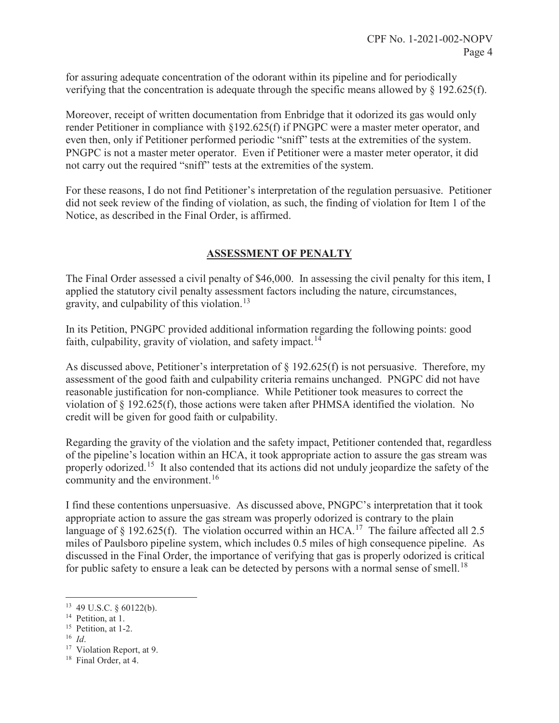for assuring adequate concentration of the odorant within its pipeline and for periodically verifying that the concentration is adequate through the specific means allowed by § 192.625(f).

 PNGPC is not a master meter operator. Even if Petitioner were a master meter operator, it did Moreover, receipt of written documentation from Enbridge that it odorized its gas would only render Petitioner in compliance with §192.625(f) if PNGPC were a master meter operator, and even then, only if Petitioner performed periodic "sniff" tests at the extremities of the system. not carry out the required "sniff" tests at the extremities of the system.

For these reasons, I do not find Petitioner's interpretation of the regulation persuasive. Petitioner did not seek review of the finding of violation, as such, the finding of violation for Item 1 of the Notice, as described in the Final Order, is affirmed.

# **ASSESSMENT OF PENALTY**

gravity, and culpability of this [violation.](https://violation.13)<sup>13</sup> The Final Order assessed a civil penalty of \$46,000. In assessing the civil penalty for this item, I applied the statutory civil penalty assessment factors including the nature, circumstances,

faith, culpability, gravity of violation, and safety [impact.](https://impact.14) $14$ In its Petition, PNGPC provided additional information regarding the following points: good

As discussed above, Petitioner's interpretation of § 192.625(f) is not persuasive. Therefore, my assessment of the good faith and culpability criteria remains unchanged. PNGPC did not have reasonable justification for non-compliance. While Petitioner took measures to correct the violation of § 192.625(f), those actions were taken after PHMSA identified the violation. No credit will be given for good faith or culpability.

 Regarding the gravity of the violation and the safety impact, Petitioner contended that, regardless properly [odorized.](https://odorized.15)<sup>15</sup> It also contended that its actions did not unduly jeopardize the safety of the community and the [environment.](https://environment.16)<sup>16</sup> of the pipeline's location within an HCA, it took appropriate action to assure the gas stream was

for public safety to ensure a leak can be detected by persons with a normal sense of [smell.](https://smell.18)<sup>18</sup> I find these contentions unpersuasive. As discussed above, PNGPC's interpretation that it took appropriate action to assure the gas stream was properly odorized is contrary to the plain language of  $\S$  192.625(f). The violation occurred within an HCA.<sup>17</sup> The failure affected all 2.5 miles of Paulsboro pipeline system, which includes 0.5 miles of high consequence pipeline. As discussed in the Final Order, the importance of verifying that gas is properly odorized is critical

 $\overline{a}$ 

<sup>13 49</sup> U.S.C. § 60122(b).

<sup>&</sup>lt;sup>14</sup> Petition, at 1.

<sup>&</sup>lt;sup>15</sup> Petition, at 1-2.

 $^{16}$  *Id.* 

<sup>&</sup>lt;sup>16</sup> *Id.* Violation Report, at 9.<br><sup>18</sup> Final Order, at 4.